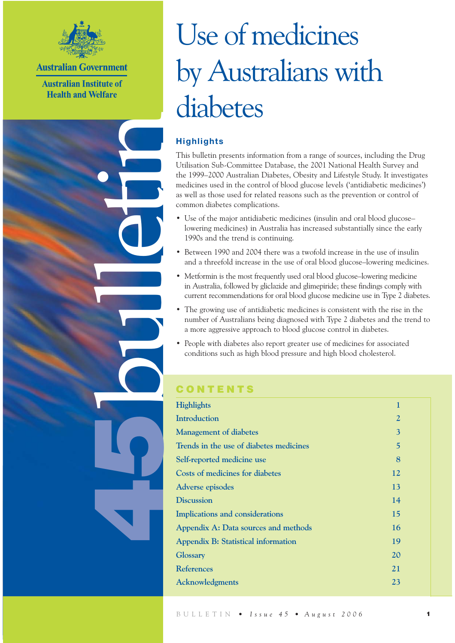

**Australian Government** 

**Australian Institute of Health and Welfare** 

bulletin

5

# Use of medicines by Australians with diabetes

# **Highlights**

This bulletin presents information from a range of sources, including the Drug Utilisation Sub-Committee Database, the 2001 National Health Survey and the 1999–2000 Australian Diabetes, Obesity and Lifestyle Study. It investigates medicines used in the control of blood glucose levels ('antidiabetic medicines') as well as those used for related reasons such as the prevention or control of common diabetes complications.

- Use of the major antidiabetic medicines (insulin and oral blood glucose– lowering medicines) in Australia has increased substantially since the early 1990s and the trend is continuing.
- Between 1990 and 2004 there was a twofold increase in the use of insulin and a threefold increase in the use of oral blood glucose–lowering medicines.
- Metformin is the most frequently used oral blood glucose–lowering medicine in Australia, followed by gliclazide and glimepiride; these findings comply with current recommendations for oral blood glucose medicine use in Type 2 diabetes.
- The growing use of antidiabetic medicines is consistent with the rise in the number of Australians being diagnosed with Type 2 diabetes and the trend to a more aggressive approach to blood glucose control in diabetes.
- People with diabetes also report greater use of medicines for associated conditions such as high blood pressure and high blood cholesterol.

# **CONTENTS**

| <b>Highlights</b>                          | 1              |
|--------------------------------------------|----------------|
| <b>Introduction</b>                        | $\overline{2}$ |
| <b>Management of diabetes</b>              | $\overline{3}$ |
| Trends in the use of diabetes medicines    | 5              |
| Self-reported medicine use                 | 8              |
| Costs of medicines for diabetes            | 12             |
| Adverse episodes                           | 13             |
| <b>Discussion</b>                          | 14             |
| Implications and considerations            | 15             |
| Appendix A: Data sources and methods       | 16             |
| <b>Appendix B: Statistical information</b> | 19             |
| Glossary                                   | 20             |
| <b>References</b>                          | 21             |
| <b>Acknowledgments</b>                     | 23             |
|                                            |                |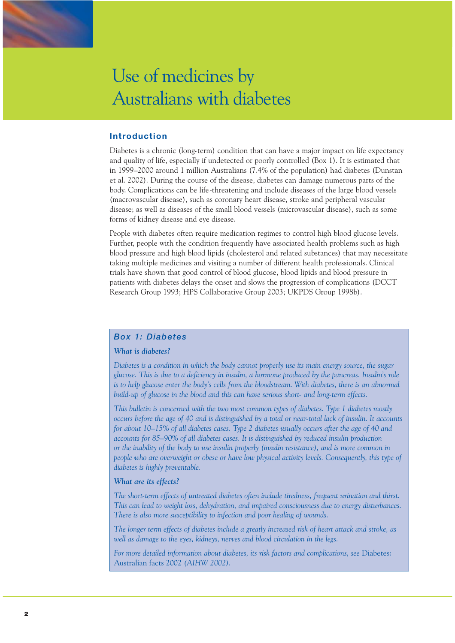

#### **Introduction**

Diabetes is a chronic (long-term) condition that can have a major impact on life expectancy and quality of life, especially if undetected or poorly controlled (Box 1). It is estimated that in 1999–2000 around 1 million Australians (7.4% of the population) had diabetes (Dunstan et al. 2002). During the course of the disease, diabetes can damage numerous parts of the body. Complications can be life-threatening and include diseases of the large blood vessels (macrovascular disease), such as coronary heart disease, stroke and peripheral vascular disease; as well as diseases of the small blood vessels (microvascular disease), such as some forms of kidney disease and eye disease.

People with diabetes often require medication regimes to control high blood glucose levels. Further, people with the condition frequently have associated health problems such as high blood pressure and high blood lipids (cholesterol and related substances) that may necessitate taking multiple medicines and visiting a number of different health professionals. Clinical trials have shown that good control of blood glucose, blood lipids and blood pressure in patients with diabetes delays the onset and slows the progression of complications (DCCT Research Group 1993; HPS Collaborative Group 2003; UKPDS Group 1998b).

#### *Box 1: Diabetes*

#### *What is diabetes?*

*Diabetes is a condition in which the body cannot properly use its main energy source, the sugar glucose. This is due to a deficiency in insulin, a hormone produced by the pancreas. Insulin's role*  is to help glucose enter the body's cells from the bloodstream. With diabetes, there is an abnormal *build-up of glucose in the blood and this can have serious short- and long-term effects.*

*This bulletin is concerned with the two most common types of diabetes. Type 1 diabetes mostly occurs before the age of 40 and is distinguished by a total or near-total lack of insulin. It accounts for about 10–15% of all diabetes cases. Type 2 diabetes usually occurs after the age of 40 and accounts for 85–90% of all diabetes cases. It is distinguished by reduced insulin production or the inability of the body to use insulin properly (insulin resistance), and is more common in people who are overweight or obese or have low physical activity levels. Consequently, this type of diabetes is highly preventable.*

#### *What are its effects?*

*The short-term effects of untreated diabetes often include tiredness, frequent urination and thirst. This can lead to weight loss, dehydration, and impaired consciousness due to energy disturbances. There is also more susceptibility to infection and poor healing of wounds.* 

*The longer term effects of diabetes include a greatly increased risk of heart attack and stroke, as well as damage to the eyes, kidneys, nerves and blood circulation in the legs.*

For more detailed information about diabetes, its risk factors and complications, see Diabetes: Australian facts 2002 *(AIHW 2002).*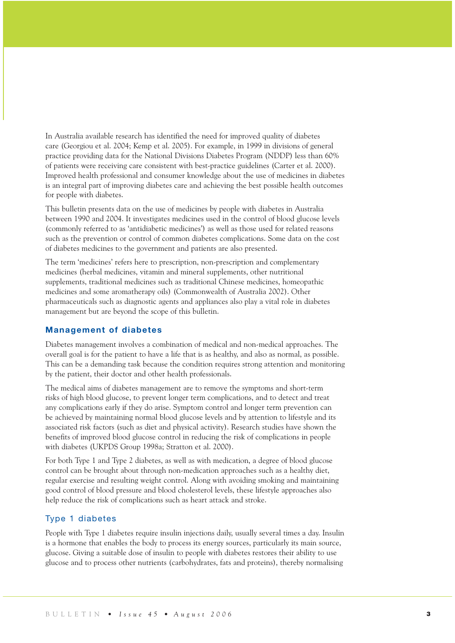In Australia available research has identified the need for improved quality of diabetes care (Georgiou et al. 2004; Kemp et al. 2005). For example, in 1999 in divisions of general practice providing data for the National Divisions Diabetes Program (NDDP) less than 60% of patients were receiving care consistent with best-practice guidelines (Carter et al. 2000). Improved health professional and consumer knowledge about the use of medicines in diabetes is an integral part of improving diabetes care and achieving the best possible health outcomes for people with diabetes.

This bulletin presents data on the use of medicines by people with diabetes in Australia between 1990 and 2004. It investigates medicines used in the control of blood glucose levels (commonly referred to as 'antidiabetic medicines') as well as those used for related reasons such as the prevention or control of common diabetes complications. Some data on the cost of diabetes medicines to the government and patients are also presented.

The term 'medicines' refers here to prescription, non-prescription and complementary medicines (herbal medicines, vitamin and mineral supplements, other nutritional supplements, traditional medicines such as traditional Chinese medicines, homeopathic medicines and some aromatherapy oils) (Commonwealth of Australia 2002). Other pharmaceuticals such as diagnostic agents and appliances also play a vital role in diabetes management but are beyond the scope of this bulletin.

#### **Management of diabetes**

Diabetes management involves a combination of medical and non-medical approaches. The overall goal is for the patient to have a life that is as healthy, and also as normal, as possible. This can be a demanding task because the condition requires strong attention and monitoring by the patient, their doctor and other health professionals.

The medical aims of diabetes management are to remove the symptoms and short-term risks of high blood glucose, to prevent longer term complications, and to detect and treat any complications early if they do arise. Symptom control and longer term prevention can be achieved by maintaining normal blood glucose levels and by attention to lifestyle and its associated risk factors (such as diet and physical activity). Research studies have shown the benefits of improved blood glucose control in reducing the risk of complications in people with diabetes (UKPDS Group 1998a; Stratton et al. 2000).

For both Type 1 and Type 2 diabetes, as well as with medication, a degree of blood glucose control can be brought about through non-medication approaches such as a healthy diet, regular exercise and resulting weight control. Along with avoiding smoking and maintaining good control of blood pressure and blood cholesterol levels, these lifestyle approaches also help reduce the risk of complications such as heart attack and stroke.

#### Type 1 diabetes

People with Type 1 diabetes require insulin injections daily, usually several times a day. Insulin is a hormone that enables the body to process its energy sources, particularly its main source, glucose. Giving a suitable dose of insulin to people with diabetes restores their ability to use glucose and to process other nutrients (carbohydrates, fats and proteins), thereby normalising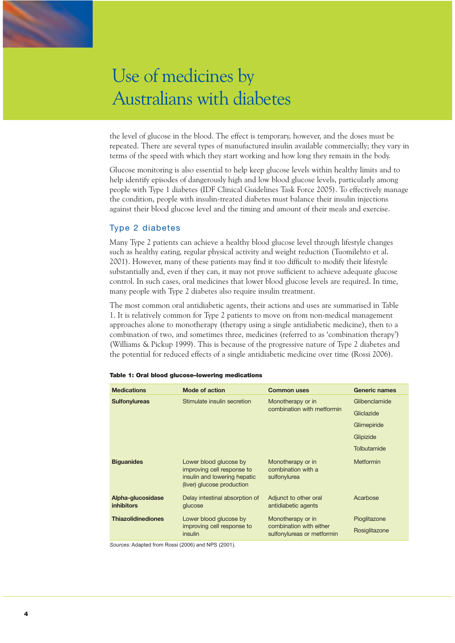the level of glucose in the blood. The effect is temporary, however, and the doses must be repeated. There are several types of manufactured insulin available commercially; they vary in terms of the speed with which they start working and how long they remain in the body.

Glucose monitoring is also essential to help keep glucose levels within healthy limits and to help identify episodes of dangerously high and low blood glucose levels, particularly among people with Type 1 diabetes (IDF Clinical Guidelines Task Force 2005). To effectively manage the condition, people with insulin-treated diabetes must balance their insulin injections against their blood glucose level and the timing and amount of their meals and exercise.

# Type 2 diabetes

Many Type 2 patients can achieve a healthy blood glucose level through lifestyle changes such as healthy eating, regular physical activity and weight reduction (Tuomilehto et al. 2001). However, many of these patients may find it too difficult to modify their lifestyle substantially and, even if they can, it may not prove sufficient to achieve adequate glucose control. In such cases, oral medicines that lower blood glucose levels are required. In time, many people with Type 2 diabetes also require insulin treatment.

The most common oral antidiabetic agents, their actions and uses are summarised in Table 1. It is relatively common for Type 2 patients to move on from non-medical management approaches alone to monotherapy (therapy using a single antidiabetic medicine), then to a combination of two, and sometimes three, medicines (referred to as 'combination therapy') (Williams & Pickup 1999). This is because of the progressive nature of Type 2 diabetes and the potential for reduced effects of a single antidiabetic medicine over time (Rossi 2006).

| <b>Medications</b>                     | <b>Mode of action</b>                                                                                              | <b>Common uses</b>                                                         | Generic names                 |
|----------------------------------------|--------------------------------------------------------------------------------------------------------------------|----------------------------------------------------------------------------|-------------------------------|
| <b>Sulfonylureas</b>                   | Stimulate insulin secretion                                                                                        | Monotherapy or in                                                          | Glibenclamide                 |
|                                        |                                                                                                                    | combination with metformin                                                 | Gliclazide                    |
|                                        |                                                                                                                    |                                                                            | Glimepiride                   |
|                                        |                                                                                                                    |                                                                            | Glipizide                     |
|                                        |                                                                                                                    |                                                                            | Tolbutamide                   |
| <b>Biguanides</b>                      | Lower blood glucose by<br>improving cell response to<br>insulin and lowering hepatic<br>(liver) glucose production | Monotherapy or in<br>combination with a<br>sulfonylurea                    | <b>Metformin</b>              |
| Alpha-glucosidase<br><b>inhibitors</b> | Delay intestinal absorption of<br>glucose                                                                          | Adjunct to other oral<br>antidiabetic agents                               | Acarbose                      |
| <b>Thiazolidinediones</b>              | Lower blood glucose by<br>improving cell response to<br><i>insulin</i>                                             | Monotherapy or in<br>combination with either<br>sulfonylureas or metformin | Pioglitazone<br>Rosiglitazone |

|  |  | Table 1: Oral blood glucose–lowering medications |  |
|--|--|--------------------------------------------------|--|

*Sources:* Adapted from Rossi (2006) and NPS (2001).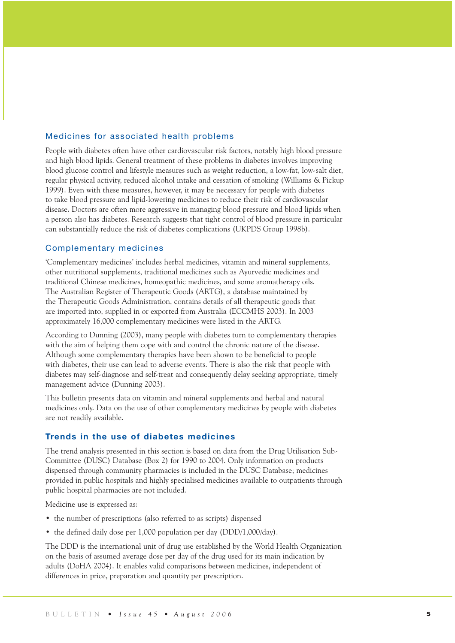### Medicines for associated health problems

People with diabetes often have other cardiovascular risk factors, notably high blood pressure and high blood lipids. General treatment of these problems in diabetes involves improving blood glucose control and lifestyle measures such as weight reduction, a low-fat, low-salt diet, regular physical activity, reduced alcohol intake and cessation of smoking (Williams & Pickup 1999). Even with these measures, however, it may be necessary for people with diabetes to take blood pressure and lipid-lowering medicines to reduce their risk of cardiovascular disease. Doctors are often more aggressive in managing blood pressure and blood lipids when a person also has diabetes. Research suggests that tight control of blood pressure in particular can substantially reduce the risk of diabetes complications (UKPDS Group 1998b).

#### Complementary medicines

'Complementary medicines' includes herbal medicines, vitamin and mineral supplements, other nutritional supplements, traditional medicines such as Ayurvedic medicines and traditional Chinese medicines, homeopathic medicines, and some aromatherapy oils. The Australian Register of Therapeutic Goods (ARTG), a database maintained by the Therapeutic Goods Administration, contains details of all therapeutic goods that are imported into, supplied in or exported from Australia (ECCMHS 2003). In 2003 approximately 16,000 complementary medicines were listed in the ARTG.

According to Dunning (2003), many people with diabetes turn to complementary therapies with the aim of helping them cope with and control the chronic nature of the disease. Although some complementary therapies have been shown to be beneficial to people with diabetes, their use can lead to adverse events. There is also the risk that people with diabetes may self-diagnose and self-treat and consequently delay seeking appropriate, timely management advice (Dunning 2003).

This bulletin presents data on vitamin and mineral supplements and herbal and natural medicines only. Data on the use of other complementary medicines by people with diabetes are not readily available.

#### **Trends in the use of diabetes medicines**

The trend analysis presented in this section is based on data from the Drug Utilisation Sub-Committee (DUSC) Database (Box 2) for 1990 to 2004. Only information on products dispensed through community pharmacies is included in the DUSC Database; medicines provided in public hospitals and highly specialised medicines available to outpatients through public hospital pharmacies are not included.

Medicine use is expressed as:

- the number of prescriptions (also referred to as scripts) dispensed
- the defined daily dose per 1,000 population per day (DDD/1,000/day).

The DDD is the international unit of drug use established by the World Health Organization on the basis of assumed average dose per day of the drug used for its main indication by adults (DoHA 2004). It enables valid comparisons between medicines, independent of differences in price, preparation and quantity per prescription.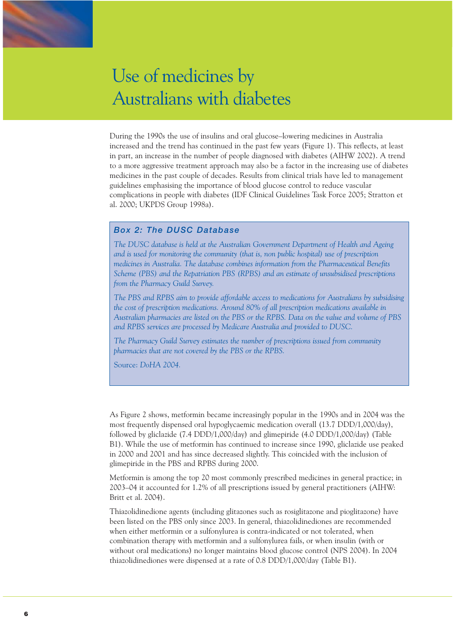

During the 1990s the use of insulins and oral glucose–lowering medicines in Australia increased and the trend has continued in the past few years (Figure 1). This reflects, at least in part, an increase in the number of people diagnosed with diabetes (AIHW 2002). A trend to a more aggressive treatment approach may also be a factor in the increasing use of diabetes medicines in the past couple of decades. Results from clinical trials have led to management guidelines emphasising the importance of blood glucose control to reduce vascular complications in people with diabetes (IDF Clinical Guidelines Task Force 2005; Stratton et al. 2000; UKPDS Group 1998a).

#### *Box 2: The DUSC Database*

*The DUSC database is held at the Australian Government Department of Health and Ageing and is used for monitoring the community (that is, non public hospital) use of prescription medicines in Australia. The database combines information from the Pharmaceutical Benefits Scheme (PBS) and the Repatriation PBS (RPBS) and an estimate of unsubsidised prescriptions from the Pharmacy Guild Survey.* 

*The PBS and RPBS aim to provide affordable access to medications for Australians by subsidising the cost of prescription medications. Around 80% of all prescription medications available in Australian pharmacies are listed on the PBS or the RPBS. Data on the value and volume of PBS and RPBS services are processed by Medicare Australia and provided to DUSC.*

*The Pharmacy Guild Survey estimates the number of prescriptions issued from community pharmacies that are not covered by the PBS or the RPBS.* 

Source: *DoHA 2004.*

As Figure 2 shows, metformin became increasingly popular in the 1990s and in 2004 was the most frequently dispensed oral hypoglycaemic medication overall (13.7 DDD/1,000/day), followed by gliclazide (7.4 DDD/1,000/day) and glimepiride (4.0 DDD/1,000/day) (Table B1). While the use of metformin has continued to increase since 1990, gliclazide use peaked in 2000 and 2001 and has since decreased slightly. This coincided with the inclusion of glimepiride in the PBS and RPBS during 2000.

Metformin is among the top 20 most commonly prescribed medicines in general practice; in 2003–04 it accounted for 1.2% of all prescriptions issued by general practitioners (AIHW: Britt et al. 2004).

Thiazolidinedione agents (including glitazones such as rosiglitazone and pioglitazone) have been listed on the PBS only since 2003. In general, thiazolidinediones are recommended when either metformin or a sulfonylurea is contra-indicated or not tolerated, when combination therapy with metformin and a sulfonylurea fails, or when insulin (with or without oral medications) no longer maintains blood glucose control (NPS 2004). In 2004 thiazolidinediones were dispensed at a rate of 0.8 DDD/1,000/day (Table B1).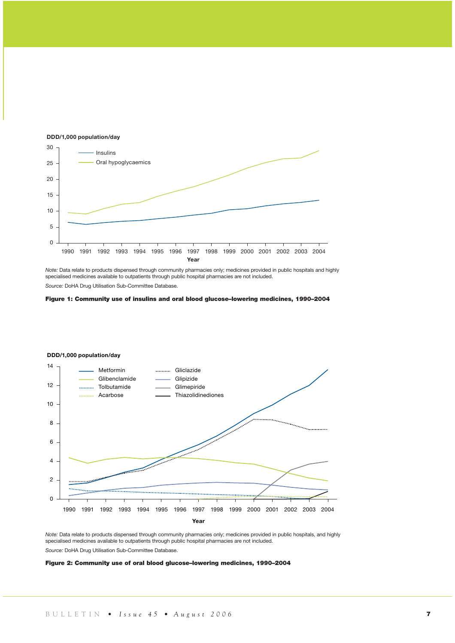

*Note:* Data relate to products dispensed through community pharmacies only; medicines provided in public hospitals and highly specialised medicines available to outpatients through public hospital pharmacies are not included. *Source:* DoHA Drug Utilisation Sub-Committee Database.





*Note:* Data relate to products dispensed through community pharmacies only; medicines provided in public hospitals, and highly specialised medicines available to outpatients through public hospital pharmacies are not included. *Source:* DoHA Drug Utilisation Sub-Committee Database.

#### Figure 2: Community use of oral blood glucose–lowering medicines, 1990–2004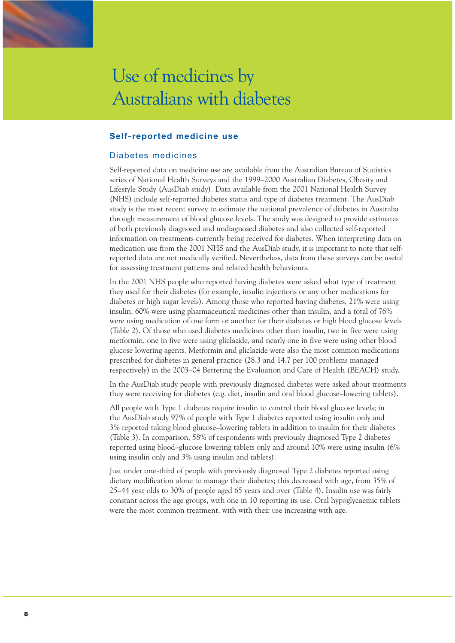

#### **Self-reported medicine use**

#### Diabetes medicines

Self-reported data on medicine use are available from the Australian Bureau of Statistics series of National Health Surveys and the 1999–2000 Australian Diabetes, Obesity and Lifestyle Study (AusDiab study). Data available from the 2001 National Health Survey (NHS) include self-reported diabetes status and type of diabetes treatment. The AusDiab study is the most recent survey to estimate the national prevalence of diabetes in Australia through measurement of blood glucose levels. The study was designed to provide estimates of both previously diagnosed and undiagnosed diabetes and also collected self-reported information on treatments currently being received for diabetes. When interpreting data on medication use from the 2001 NHS and the AusDiab study, it is important to note that selfreported data are not medically verified. Nevertheless, data from these surveys can be useful for assessing treatment patterns and related health behaviours.

In the 2001 NHS people who reported having diabetes were asked what type of treatment they used for their diabetes (for example, insulin injections or any other medications for diabetes or high sugar levels). Among those who reported having diabetes, 21% were using insulin, 60% were using pharmaceutical medicines other than insulin, and a total of 76% were using medication of one form or another for their diabetes or high blood glucose levels (Table 2). Of those who used diabetes medicines other than insulin, two in five were using metformin, one in five were using gliclazide, and nearly one in five were using other blood glucose lowering agents. Metformin and gliclazide were also the most common medications prescribed for diabetes in general practice (28.3 and 14.7 per 100 problems managed respectively) in the 2003–04 Bettering the Evaluation and Care of Health (BEACH) study.

In the AusDiab study people with previously diagnosed diabetes were asked about treatments they were receiving for diabetes (e.g. diet, insulin and oral blood glucose–lowering tablets).

All people with Type 1 diabetes require insulin to control their blood glucose levels; in the AusDiab study 97% of people with Type 1 diabetes reported using insulin only and 3% reported taking blood glucose–lowering tablets in addition to insulin for their diabetes (Table 3). In comparison, 58% of respondents with previously diagnosed Type 2 diabetes reported using blood–glucose lowering tablets only and around 10% were using insulin (6% using insulin only and 3% using insulin and tablets).

Just under one-third of people with previously diagnosed Type 2 diabetes reported using dietary modification alone to manage their diabetes; this decreased with age, from 35% of 25–44 year olds to 30% of people aged 65 years and over (Table 4). Insulin use was fairly constant across the age groups, with one in 10 reporting its use. Oral hypoglycaemic tablets were the most common treatment, with with their use increasing with age.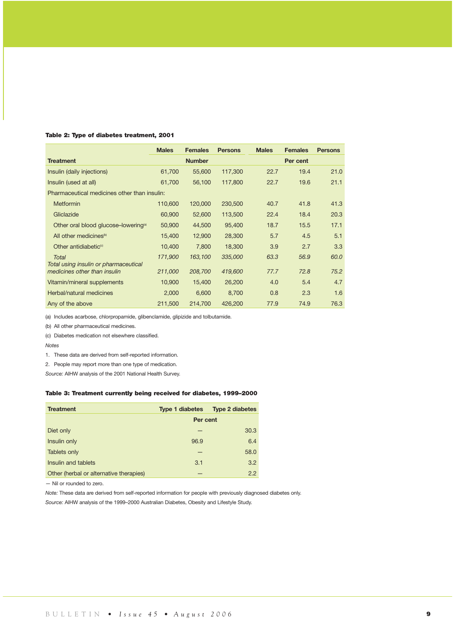#### Table 2: Type of diabetes treatment, 2001

|                                                       | <b>Males</b> | <b>Females</b> | <b>Persons</b> | <b>Males</b> | <b>Females</b> | <b>Persons</b> |
|-------------------------------------------------------|--------------|----------------|----------------|--------------|----------------|----------------|
| <b>Treatment</b>                                      |              | <b>Number</b>  |                |              | Per cent       |                |
| Insulin (daily injections)                            | 61,700       | 55,600         | 117,300        | 22.7         | 19.4           | 21.0           |
| Insulin (used at all)                                 | 61,700       | 56,100         | 117,800        | 22.7         | 19.6           | 21.1           |
| Pharmaceutical medicines other than insulin:          |              |                |                |              |                |                |
| <b>Metformin</b>                                      | 110,600      | 120,000        | 230,500        | 40.7         | 41.8           | 41.3           |
| Gliclazide                                            | 60,900       | 52,600         | 113,500        | 22.4         | 18.4           | 20.3           |
| Other oral blood glucose–lowering <sup>(a)</sup>      | 50,900       | 44,500         | 95,400         | 18.7         | 15.5           | 17.1           |
| All other medicines <sup>®</sup>                      | 15,400       | 12,900         | 28,300         | 5.7          | 4.5            | 5.1            |
| Other antidiabetic <sup>(c)</sup>                     | 10,400       | 7,800          | 18,300         | 3.9          | 2.7            | 3.3            |
| <b>Total</b><br>Total using insulin or pharmaceutical | 171,900      | 163,100        | 335,000        | 63.3         | 56.9           | 60.0           |
| medicines other than insulin                          | 211,000      | 208,700        | 419,600        | 77.7         | 72.8           | 75.2           |
| Vitamin/mineral supplements                           | 10,900       | 15,400         | 26,200         | 4.0          | 5.4            | 4.7            |
| Herbal/natural medicines                              | 2,000        | 6,600          | 8,700          | 0.8          | 2.3            | 1.6            |
| Any of the above                                      | 211,500      | 214,700        | 426,200        | 77.9         | 74.9           | 76.3           |

(a) Includes acarbose, chlorpropamide, glibenclamide, glipizide and tolbutamide.

(b) All other pharmaceutical medicines.

(c) Diabetes medication not elsewhere classified.

*Notes*

1. These data are derived from self-reported information.

2. People may report more than one type of medication.

*Source:* AIHW analysis of the 2001 National Health Survey.

#### Table 3: Treatment currently being received for diabetes, 1999–2000

| <b>Treatment</b>                        | <b>Type 1 diabetes</b> | <b>Type 2 diabetes</b> |  |  |  |  |
|-----------------------------------------|------------------------|------------------------|--|--|--|--|
|                                         | Per cent               |                        |  |  |  |  |
| Diet only                               |                        | 30.3                   |  |  |  |  |
| Insulin only                            | 96.9                   | 6.4                    |  |  |  |  |
| <b>Tablets only</b>                     |                        | 58.0                   |  |  |  |  |
| Insulin and tablets                     | 3.1                    | 3.2                    |  |  |  |  |
| Other (herbal or alternative therapies) |                        | 2.2                    |  |  |  |  |

— Nil or rounded to zero.

*Note:* These data are derived from self-reported information for people with previously diagnosed diabetes only. *Source:* AIHW analysis of the 1999–2000 Australian Diabetes, Obesity and Lifestyle Study.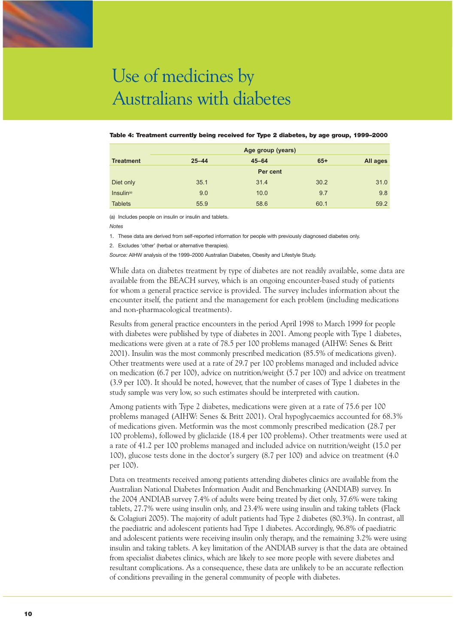

#### Table 4: Treatment currently being received for Type 2 diabetes, by age group, 1999–2000

|                        | Age group (years) |           |          |          |  |  |  |
|------------------------|-------------------|-----------|----------|----------|--|--|--|
| <b>Treatment</b>       | $25 - 44$         | $45 - 64$ | $65+$    | All ages |  |  |  |
|                        |                   |           | Per cent |          |  |  |  |
| Diet only              | 35.1              | 31.4      | 30.2     | 31.0     |  |  |  |
| Insulin <sup>(a)</sup> | 9.0               | 10.0      | 9.7      | 9.8      |  |  |  |
| <b>Tablets</b>         | 55.9              | 58.6      | 60.1     | 59.2     |  |  |  |

(a) Includes people on insulin or insulin and tablets.

*Notes*

1. These data are derived from self-reported information for people with previously diagnosed diabetes only.

2. Excludes 'other' (herbal or alternative therapies).

*Source:* AIHW analysis of the 1999–2000 Australian Diabetes, Obesity and Lifestyle Study.

While data on diabetes treatment by type of diabetes are not readily available, some data are available from the BEACH survey, which is an ongoing encounter-based study of patients for whom a general practice service is provided. The survey includes information about the encounter itself, the patient and the management for each problem (including medications and non-pharmacological treatments).

Results from general practice encounters in the period April 1998 to March 1999 for people with diabetes were published by type of diabetes in 2001. Among people with Type 1 diabetes, medications were given at a rate of 78.5 per 100 problems managed (AIHW: Senes & Britt 2001). Insulin was the most commonly prescribed medication (85.5% of medications given). Other treatments were used at a rate of 29.7 per 100 problems managed and included advice on medication (6.7 per 100), advice on nutrition/weight (5.7 per 100) and advice on treatment (3.9 per 100). It should be noted, however, that the number of cases of Type 1 diabetes in the study sample was very low, so such estimates should be interpreted with caution.

Among patients with Type 2 diabetes, medications were given at a rate of 75.6 per 100 problems managed (AIHW: Senes & Britt 2001). Oral hypoglycaemics accounted for 68.3% of medications given. Metformin was the most commonly prescribed medication (28.7 per 100 problems), followed by gliclazide (18.4 per 100 problems). Other treatments were used at a rate of 41.2 per 100 problems managed and included advice on nutrition/weight (15.0 per 100), glucose tests done in the doctor's surgery (8.7 per 100) and advice on treatment (4.0 per 100).

Data on treatments received among patients attending diabetes clinics are available from the Australian National Diabetes Information Audit and Benchmarking (ANDIAB) survey. In the 2004 ANDIAB survey 7.4% of adults were being treated by diet only, 37.6% were taking tablets, 27.7% were using insulin only, and 23.4% were using insulin and taking tablets (Flack & Colagiuri 2005). The majority of adult patients had Type 2 diabetes (80.3%). In contrast, all the paediatric and adolescent patients had Type 1 diabetes. Accordingly, 96.8% of paediatric and adolescent patients were receiving insulin only therapy, and the remaining 3.2% were using insulin and taking tablets. A key limitation of the ANDIAB survey is that the data are obtained from specialist diabetes clinics, which are likely to see more people with severe diabetes and resultant complications. As a consequence, these data are unlikely to be an accurate reflection of conditions prevailing in the general community of people with diabetes.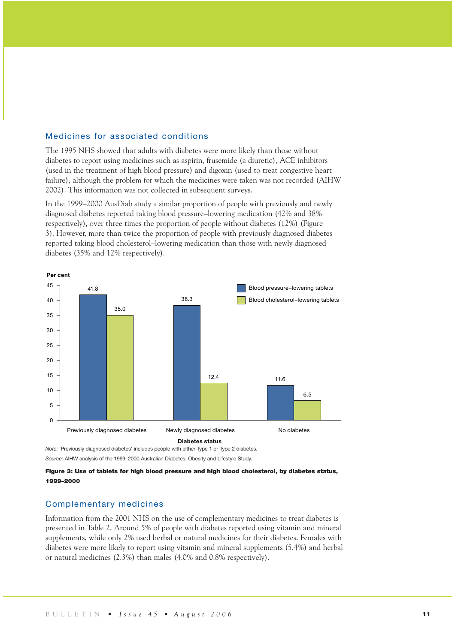#### Medicines for associated conditions

The 1995 NHS showed that adults with diabetes were more likely than those without diabetes to report using medicines such as aspirin, frusemide (a diuretic), ACE inhibitors (used in the treatment of high blood pressure) and digoxin (used to treat congestive heart failure), although the problem for which the medicines were taken was not recorded (AIHW 2002). This information was not collected in subsequent surveys.

In the 1999–2000 AusDiab study a similar proportion of people with previously and newly diagnosed diabetes reported taking blood pressure–lowering medication (42% and 38% respectively), over three times the proportion of people without diabetes (12%) (Figure 3). However, more than twice the proportion of people with previously diagnosed diabetes reported taking blood cholesterol–lowering medication than those with newly diagnosed diabetes (35% and 12% respectively).



**Per cent**

*Note:* 'Previously diagnosed diabetes' includes people with either Type 1 or Type 2 diabetes. *Source:* AIHW analysis of the 1999–2000 Australian Diabetes, Obesity and Lifestyle Study.

Figure 3: Use of tablets for high blood pressure and high blood cholesterol, by diabetes status, 1999–2000

#### Complementary medicines

Information from the 2001 NHS on the use of complementary medicines to treat diabetes is presented in Table 2. Around 5% of people with diabetes reported using vitamin and mineral supplements, while only 2% used herbal or natural medicines for their diabetes. Females with diabetes were more likely to report using vitamin and mineral supplements (5.4%) and herbal or natural medicines (2.3%) than males (4.0% and 0.8% respectively).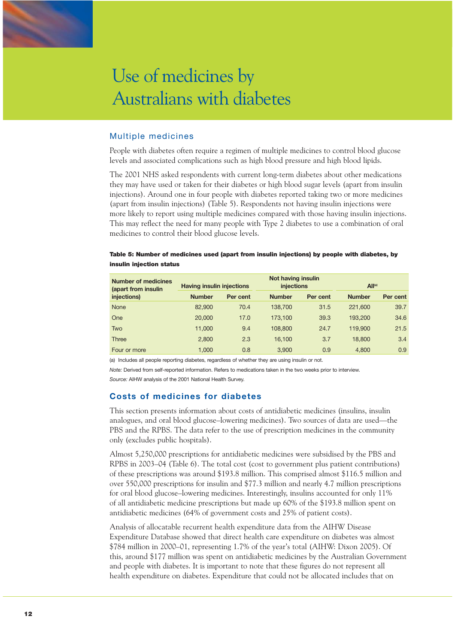

#### Multiple medicines

People with diabetes often require a regimen of multiple medicines to control blood glucose levels and associated complications such as high blood pressure and high blood lipids.

The 2001 NHS asked respondents with current long-term diabetes about other medications they may have used or taken for their diabetes or high blood sugar levels (apart from insulin injections). Around one in four people with diabetes reported taking two or more medicines (apart from insulin injections) (Table 5). Respondents not having insulin injections were more likely to report using multiple medicines compared with those having insulin injections. This may reflect the need for many people with Type 2 diabetes to use a combination of oral medicines to control their blood glucose levels.

#### Table 5: Number of medicines used (apart from insulin injections) by people with diabetes, by insulin injection status

| <b>Number of medicines</b><br>(apart from insulin | <b>Having insulin injections</b> |          | Not having insulin<br>injections |          | Al <sub>1</sub> (a) |          |  |
|---------------------------------------------------|----------------------------------|----------|----------------------------------|----------|---------------------|----------|--|
| injections)                                       | <b>Number</b>                    | Per cent | <b>Number</b>                    | Per cent | <b>Number</b>       | Per cent |  |
| <b>None</b>                                       | 82,900                           | 70.4     | 138,700                          | 31.5     | 221,600             | 39.7     |  |
| One                                               | 20,000                           | 17.0     | 173.100                          | 39.3     | 193,200             | 34.6     |  |
| Two                                               | 11,000                           | 9.4      | 108,800                          | 24.7     | 119,900             | 21.5     |  |
| Three                                             | 2,800                            | 2.3      | 16.100                           | 3.7      | 18,800              | 3.4      |  |
| Four or more                                      | 1.000                            | 0.8      | 3.900                            | 0.9      | 4.800               | 0.9      |  |

(a) Includes all people reporting diabetes, regardless of whether they are using insulin or not.

*Note:* Derived from self-reported information. Refers to medications taken in the two weeks prior to interview.

*Source:* AIHW analysis of the 2001 National Health Survey.

#### **Costs of medicines for diabetes**

This section presents information about costs of antidiabetic medicines (insulins, insulin analogues, and oral blood glucose–lowering medicines). Two sources of data are used—the PBS and the RPBS. The data refer to the use of prescription medicines in the community only (excludes public hospitals).

Almost 5,250,000 prescriptions for antidiabetic medicines were subsidised by the PBS and RPBS in 2003–04 (Table 6). The total cost (cost to government plus patient contributions) of these prescriptions was around \$193.8 million. This comprised almost \$116.5 million and over 550,000 prescriptions for insulin and \$77.3 million and nearly 4.7 million prescriptions for oral blood glucose–lowering medicines. Interestingly, insulins accounted for only 11% of all antidiabetic medicine prescriptions but made up 60% of the \$193.8 million spent on antidiabetic medicines (64% of government costs and 25% of patient costs).

Analysis of allocatable recurrent health expenditure data from the AIHW Disease Expenditure Database showed that direct health care expenditure on diabetes was almost \$784 million in 2000–01, representing 1.7% of the year's total (AIHW: Dixon 2005). Of this, around \$177 million was spent on antidiabetic medicines by the Australian Government and people with diabetes. It is important to note that these figures do not represent all health expenditure on diabetes. Expenditure that could not be allocated includes that on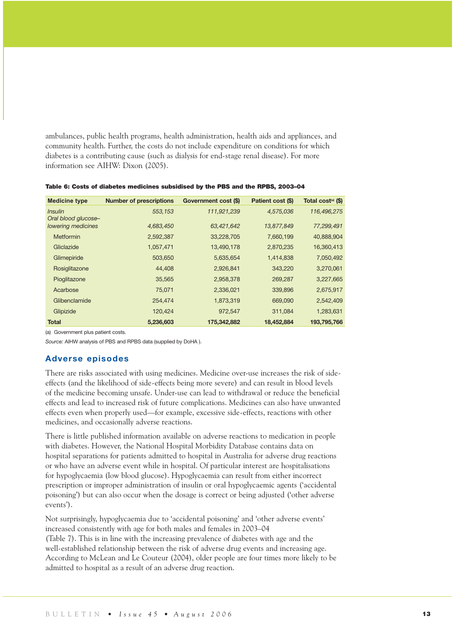ambulances, public health programs, health administration, health aids and appliances, and community health. Further, the costs do not include expenditure on conditions for which diabetes is a contributing cause (such as dialysis for end-stage renal disease). For more information see AIHW: Dixon (2005).

| <b>Medicine type</b>                  | <b>Number of prescriptions</b> | Government cost (\$) | Patient cost (\$) | Total cost <sup>(a)</sup> (\$) |
|---------------------------------------|--------------------------------|----------------------|-------------------|--------------------------------|
| <i>Insulin</i><br>Oral blood glucose- | 553,153                        | 111,921,239          | 4,575,036         | 116,496,275                    |
| lowering medicines                    | 4,683,450                      | 63,421,642           | 13,877,849        | 77,299,491                     |
| <b>Metformin</b>                      | 2,592,387                      | 33,228,705           | 7,660,199         | 40,888,904                     |
| Gliclazide                            | 1,057,471                      | 13,490,178           | 2,870,235         | 16,360,413                     |
| Glimepiride                           | 503,650                        | 5,635,654            | 1,414,838         | 7,050,492                      |
| Rosiglitazone                         | 44,408                         | 2,926,841            | 343,220           | 3,270,061                      |
| Pioglitazone                          | 35,565                         | 2,958,378            | 269,287           | 3,227,665                      |
| Acarbose                              | 75,071                         | 2,336,021            | 339,896           | 2,675,917                      |
| Glibenclamide                         | 254,474                        | 1,873,319            | 669,090           | 2,542,409                      |
| Glipizide                             | 120,424                        | 972,547              | 311,084           | 1,283,631                      |
| Total                                 | 5,236,603                      | 175,342,882          | 18,452,884        | 193,795,766                    |

Table 6: Costs of diabetes medicines subsidised by the PBS and the RPBS, 2003–04

(a) Government plus patient costs.

*Source:* AIHW analysis of PBS and RPBS data (supplied by DoHA ).

#### **Adverse episodes**

There are risks associated with using medicines. Medicine over-use increases the risk of sideeffects (and the likelihood of side-effects being more severe) and can result in blood levels of the medicine becoming unsafe. Under-use can lead to withdrawal or reduce the beneficial effects and lead to increased risk of future complications. Medicines can also have unwanted effects even when properly used—for example, excessive side-effects, reactions with other medicines, and occasionally adverse reactions.

There is little published information available on adverse reactions to medication in people with diabetes. However, the National Hospital Morbidity Database contains data on hospital separations for patients admitted to hospital in Australia for adverse drug reactions or who have an adverse event while in hospital. Of particular interest are hospitalisations for hypoglycaemia (low blood glucose). Hypoglycaemia can result from either incorrect prescription or improper administration of insulin or oral hypoglycaemic agents ('accidental poisoning') but can also occur when the dosage is correct or being adjusted ('other adverse events').

Not surprisingly, hypoglycaemia due to 'accidental poisoning' and 'other adverse events' increased consistently with age for both males and females in 2003–04 (Table 7). This is in line with the increasing prevalence of diabetes with age and the well-established relationship between the risk of adverse drug events and increasing age. According to McLean and Le Couteur (2004), older people are four times more likely to be admitted to hospital as a result of an adverse drug reaction.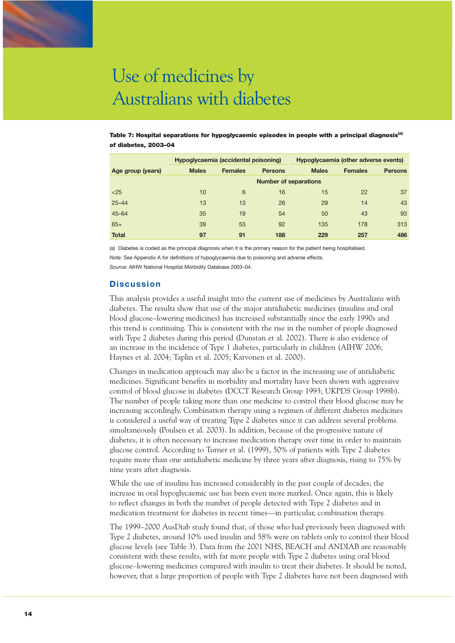Table 7: Hospital separations for hypoglycaemic episodes in people with a principal diagnosis<sup>(a)</sup> of diabetes, 2003–04

|                   |                              | Hypoglycaemia (accidental poisoning) |                | Hypoglycaemia (other adverse events) |                |                |  |  |  |  |
|-------------------|------------------------------|--------------------------------------|----------------|--------------------------------------|----------------|----------------|--|--|--|--|
| Age group (years) | <b>Males</b>                 | <b>Females</b>                       | <b>Persons</b> | <b>Males</b>                         | <b>Females</b> | <b>Persons</b> |  |  |  |  |
|                   | <b>Number of separations</b> |                                      |                |                                      |                |                |  |  |  |  |
| $<$ 25            | 10                           | 6                                    | 16             | 15                                   | 22             | 37             |  |  |  |  |
| $25 - 44$         | 13                           | 13                                   | 26             | 29                                   | 14             | 43             |  |  |  |  |
| $45 - 64$         | 35                           | 19                                   | 54             | 50                                   | 43             | 93             |  |  |  |  |
| $65+$             | 39                           | 53                                   | 92             | 135                                  | 178            | 313            |  |  |  |  |
| <b>Total</b>      | 97                           | 91                                   | 188            | 229                                  | 257            | 486            |  |  |  |  |

(a) Diabetes is coded as the principal diagnosis when it is the primary reason for the patient being hospitalised. *Note:* See Appendix A for definitions of hypoglycaemia due to poisoning and adverse effects.

*Source:* AIHW National Hospital Morbidity Database 2003–04.

#### **Discussion**

This analysis provides a useful insight into the current use of medicines by Australians with diabetes. The results show that use of the major antidiabetic medicines (insulins and oral blood glucose–lowering medicines) has increased substantially since the early 1990s and this trend is continuing. This is consistent with the rise in the number of people diagnosed with Type 2 diabetes during this period (Dunstan et al. 2002). There is also evidence of an increase in the incidence of Type 1 diabetes, particularly in children (AIHW 2006; Haynes et al. 2004; Taplin et al. 2005; Karvonen et al. 2000).

Changes in medication approach may also be a factor in the increasing use of antidiabetic medicines. Significant benefits in morbidity and mortality have been shown with aggressive control of blood glucose in diabetes (DCCT Research Group 1993; UKPDS Group 1998b). The number of people taking more than one medicine to control their blood glucose may be increasing accordingly. Combination therapy using a regimen of different diabetes medicines is considered a useful way of treating Type 2 diabetes since it can address several problems simultaneously (Poulsen et al. 2003). In addition, because of the progressive nature of diabetes, it is often necessary to increase medication therapy over time in order to maintain glucose control. According to Turner et al. (1999), 50% of patients with Type 2 diabetes require more than one antidiabetic medicine by three years after diagnosis, rising to 75% by nine years after diagnosis.

While the use of insulins has increased considerably in the past couple of decades, the increase in oral hypoglycaemic use has been even more marked. Once again, this is likely to reflect changes in both the number of people detected with Type 2 diabetes and in medication treatment for diabetes in recent times—in particular, combination therapy.

The 1999–2000 AusDiab study found that, of those who had previously been diagnosed with Type 2 diabetes, around 10% used insulin and 58% were on tablets only to control their blood glucose levels (see Table 3). Data from the 2001 NHS, BEACH and ANDIAB are reasonably consistent with these results, with far more people with Type 2 diabetes using oral blood glucose–lowering medicines compared with insulin to treat their diabetes. It should be noted, however, that a large proportion of people with Type 2 diabetes have not been diagnosed with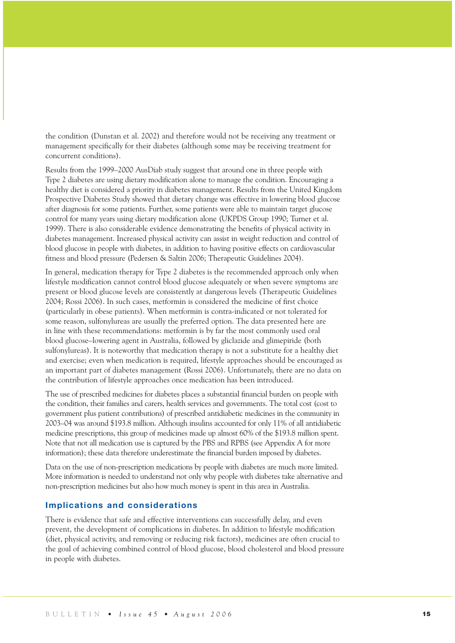the condition (Dunstan et al. 2002) and therefore would not be receiving any treatment or management specifically for their diabetes (although some may be receiving treatment for concurrent conditions).

Results from the 1999–2000 AusDiab study suggest that around one in three people with Type 2 diabetes are using dietary modification alone to manage the condition. Encouraging a healthy diet is considered a priority in diabetes management. Results from the United Kingdom Prospective Diabetes Study showed that dietary change was effective in lowering blood glucose after diagnosis for some patients. Further, some patients were able to maintain target glucose control for many years using dietary modification alone (UKPDS Group 1990; Turner et al. 1999). There is also considerable evidence demonstrating the benefits of physical activity in diabetes management. Increased physical activity can assist in weight reduction and control of blood glucose in people with diabetes, in addition to having positive effects on cardiovascular fitness and blood pressure (Pedersen & Saltin 2006; Therapeutic Guidelines 2004).

In general, medication therapy for Type 2 diabetes is the recommended approach only when lifestyle modification cannot control blood glucose adequately or when severe symptoms are present or blood glucose levels are consistently at dangerous levels (Therapeutic Guidelines 2004; Rossi 2006). In such cases, metformin is considered the medicine of first choice (particularly in obese patients). When metformin is contra-indicated or not tolerated for some reason, sulfonylureas are usually the preferred option. The data presented here are in line with these recommendations: metformin is by far the most commonly used oral blood glucose–lowering agent in Australia, followed by gliclazide and glimepiride (both sulfonylureas). It is noteworthy that medication therapy is not a substitute for a healthy diet and exercise; even when medication is required, lifestyle approaches should be encouraged as an important part of diabetes management (Rossi 2006). Unfortunately, there are no data on the contribution of lifestyle approaches once medication has been introduced.

The use of prescribed medicines for diabetes places a substantial financial burden on people with the condition, their families and carers, health services and governments. The total cost (cost to government plus patient contributions) of prescribed antidiabetic medicines in the community in 2003–04 was around \$193.8 million. Although insulins accounted for only 11% of all antidiabetic medicine prescriptions, this group of medicines made up almost 60% of the \$193.8 million spent. Note that not all medication use is captured by the PBS and RPBS (see Appendix A for more information); these data therefore underestimate the financial burden imposed by diabetes.

Data on the use of non-prescription medications by people with diabetes are much more limited. More information is needed to understand not only why people with diabetes take alternative and non-prescription medicines but also how much money is spent in this area in Australia.

#### **Implications and considerations**

There is evidence that safe and effective interventions can successfully delay, and even prevent, the development of complications in diabetes. In addition to lifestyle modification (diet, physical activity, and removing or reducing risk factors), medicines are often crucial to the goal of achieving combined control of blood glucose, blood cholesterol and blood pressure in people with diabetes.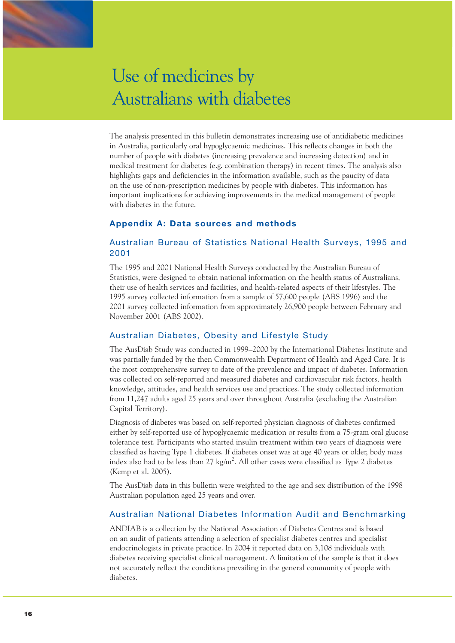The analysis presented in this bulletin demonstrates increasing use of antidiabetic medicines in Australia, particularly oral hypoglycaemic medicines. This reflects changes in both the number of people with diabetes (increasing prevalence and increasing detection) and in medical treatment for diabetes (e.g. combination therapy) in recent times. The analysis also highlights gaps and deficiencies in the information available, such as the paucity of data on the use of non-prescription medicines by people with diabetes. This information has important implications for achieving improvements in the medical management of people with diabetes in the future.

### **Appendix A: Data sources and methods**

# Australian Bureau of Statistics National Health Surveys, 1995 and 2001

The 1995 and 2001 National Health Surveys conducted by the Australian Bureau of Statistics, were designed to obtain national information on the health status of Australians, their use of health services and facilities, and health-related aspects of their lifestyles. The 1995 survey collected information from a sample of 57,600 people (ABS 1996) and the 2001 survey collected information from approximately 26,900 people between February and November 2001 (ABS 2002).

### Australian Diabetes, Obesity and Lifestyle Study

The AusDiab Study was conducted in 1999–2000 by the International Diabetes Institute and was partially funded by the then Commonwealth Department of Health and Aged Care. It is the most comprehensive survey to date of the prevalence and impact of diabetes. Information was collected on self-reported and measured diabetes and cardiovascular risk factors, health knowledge, attitudes, and health services use and practices. The study collected information from 11,247 adults aged 25 years and over throughout Australia (excluding the Australian Capital Territory).

Diagnosis of diabetes was based on self-reported physician diagnosis of diabetes confirmed either by self-reported use of hypoglycaemic medication or results from a 75-gram oral glucose tolerance test. Participants who started insulin treatment within two years of diagnosis were classified as having Type 1 diabetes. If diabetes onset was at age 40 years or older, body mass index also had to be less than  $27 \text{ kg/m}^2$ . All other cases were classified as Type 2 diabetes (Kemp et al. 2005).

The AusDiab data in this bulletin were weighted to the age and sex distribution of the 1998 Australian population aged 25 years and over.

### Australian National Diabetes Information Audit and Benchmarking

ANDIAB is a collection by the National Association of Diabetes Centres and is based on an audit of patients attending a selection of specialist diabetes centres and specialist endocrinologists in private practice. In 2004 it reported data on 3,108 individuals with diabetes receiving specialist clinical management. A limitation of the sample is that it does not accurately reflect the conditions prevailing in the general community of people with diabetes.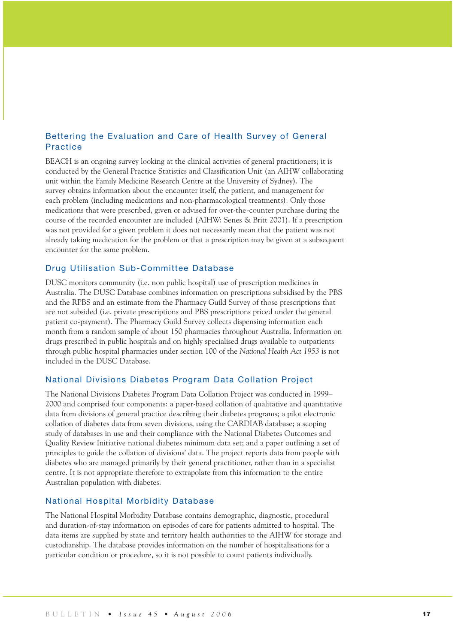# Bettering the Evaluation and Care of Health Survey of General **Practice**

BEACH is an ongoing survey looking at the clinical activities of general practitioners; it is conducted by the General Practice Statistics and Classification Unit (an AIHW collaborating unit within the Family Medicine Research Centre at the University of Sydney). The survey obtains information about the encounter itself, the patient, and management for each problem (including medications and non-pharmacological treatments). Only those medications that were prescribed, given or advised for over-the-counter purchase during the course of the recorded encounter are included (AIHW: Senes & Britt 2001). If a prescription was not provided for a given problem it does not necessarily mean that the patient was not already taking medication for the problem or that a prescription may be given at a subsequent encounter for the same problem.

#### Drug Utilisation Sub-Committee Database

DUSC monitors community (i.e. non public hospital) use of prescription medicines in Australia. The DUSC Database combines information on prescriptions subsidised by the PBS and the RPBS and an estimate from the Pharmacy Guild Survey of those prescriptions that are not subsided (i.e. private prescriptions and PBS prescriptions priced under the general patient co-payment). The Pharmacy Guild Survey collects dispensing information each month from a random sample of about 150 pharmacies throughout Australia. Information on drugs prescribed in public hospitals and on highly specialised drugs available to outpatients through public hospital pharmacies under section 100 of the *National Health Act 1953* is not included in the DUSC Database.

#### National Divisions Diabetes Program Data Collation Project

The National Divisions Diabetes Program Data Collation Project was conducted in 1999– 2000 and comprised four components: a paper-based collation of qualitative and quantitative data from divisions of general practice describing their diabetes programs; a pilot electronic collation of diabetes data from seven divisions, using the CARDIAB database; a scoping study of databases in use and their compliance with the National Diabetes Outcomes and Quality Review Initiative national diabetes minimum data set; and a paper outlining a set of principles to guide the collation of divisions' data. The project reports data from people with diabetes who are managed primarily by their general practitioner, rather than in a specialist centre. It is not appropriate therefore to extrapolate from this information to the entire Australian population with diabetes.

#### National Hospital Morbidity Database

The National Hospital Morbidity Database contains demographic, diagnostic, procedural and duration-of-stay information on episodes of care for patients admitted to hospital. The data items are supplied by state and territory health authorities to the AIHW for storage and custodianship. The database provides information on the number of hospitalisations for a particular condition or procedure, so it is not possible to count patients individually.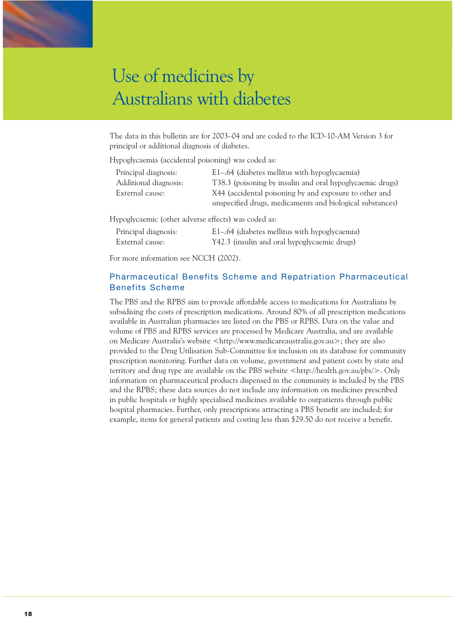The data in this bulletin are for 2003–04 and are coded to the ICD-10-AM Version 3 for principal or additional diagnosis of diabetes.

Hypoglycaemia (accidental poisoning) was coded as:

| Principal diagnosis:  | E1–.64 (diabetes mellitus with hypoglycaemia)             |
|-----------------------|-----------------------------------------------------------|
| Additional diagnosis: | T38.3 (poisoning by insulin and oral hypoglycaemic drugs) |
| External cause:       | X44 (accidental poisoning by and exposure to other and    |
|                       | unspecified drugs, medicaments and biological substances) |
|                       |                                                           |

Hypoglycaemic (other adverse effects) was coded as:

| Principal diagnosis: | E1–.64 (diabetes mellitus with hypoglycaemia) |
|----------------------|-----------------------------------------------|
| External cause:      | Y42.3 (insulin and oral hypoglycaemic drugs)  |

For more information see NCCH (2002).

# Pharmaceutical Benefits Scheme and Repatriation Pharmaceutical Benefits Scheme

The PBS and the RPBS aim to provide affordable access to medications for Australians by subsidising the costs of prescription medications. Around 80% of all prescription medications available in Australian pharmacies are listed on the PBS or RPBS. Data on the value and volume of PBS and RPBS services are processed by Medicare Australia, and are available on Medicare Australia's website <http://www.medicareaustralia.gov.au>; they are also provided to the Drug Utilisation Sub-Committee for inclusion on its database for community prescription monitoring. Further data on volume, government and patient costs by state and territory and drug type are available on the PBS website <http://health.gov.au/pbs/>. Only information on pharmaceutical products dispensed in the community is included by the PBS and the RPBS; these data sources do not include any information on medicines prescribed in public hospitals or highly specialised medicines available to outpatients through public hospital pharmacies. Further, only prescriptions attracting a PBS benefit are included; for example, items for general patients and costing less than \$29.50 do not receive a benefit.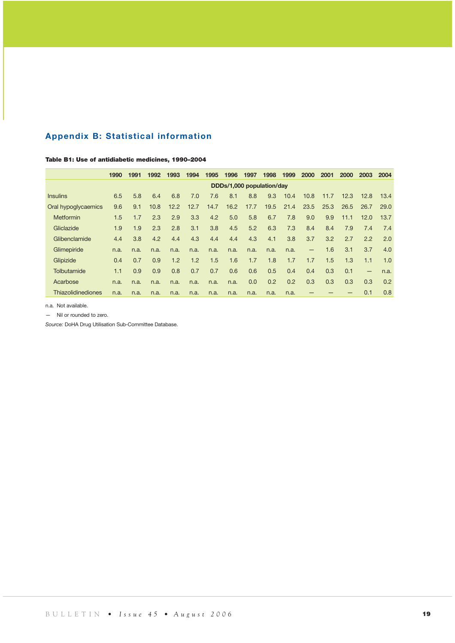# **Appendix B: Statistical information**

#### Table B1: Use of antidiabetic medicines, 1990–2004

|                           | 1990                      | 1991 | 1992 | 1993 | 1994 | 1995 | 1996 | 1997 | 1998 | 1999 | 2000              | 2001 | <b>2000</b> | 2003              | 2004 |
|---------------------------|---------------------------|------|------|------|------|------|------|------|------|------|-------------------|------|-------------|-------------------|------|
|                           | DDDs/1,000 population/day |      |      |      |      |      |      |      |      |      |                   |      |             |                   |      |
| <b>Insulins</b>           | 6.5                       | 5.8  | 6.4  | 6.8  | 7.0  | 7.6  | 8.1  | 8.8  | 9.3  | 10.4 | 10.8              | 11.7 | 12.3        | 12.8              | 13.4 |
| Oral hypoglycaemics       | 9.6                       | 9.1  | 10.8 | 12.2 | 12.7 | 14.7 | 16.2 | 17.7 | 19.5 | 21.4 | 23.5              | 25.3 | 26.5        | 26.7              | 29.0 |
| <b>Metformin</b>          | 1.5                       | 1.7  | 2.3  | 2.9  | 3.3  | 4.2  | 5.0  | 5.8  | 6.7  | 7.8  | 9.0               | 9.9  | 11.1        | 12.0              | 13.7 |
| Gliclazide                | 1.9                       | 1.9  | 2.3  | 2.8  | 3.1  | 3.8  | 4.5  | 5.2  | 6.3  | 7.3  | 8.4               | 8.4  | 7.9         | 7.4               | 7.4  |
| Glibenclamide             | 4.4                       | 3.8  | 4.2  | 4.4  | 4.3  | 4.4  | 4.4  | 4.3  | 4.1  | 3.8  | 3.7               | 3.2  | 2.7         | 2.2               | 2.0  |
| Glimepiride               | n.a.                      | n.a. | n.a. | n.a. | n.a. | n.a. | n.a. | n.a. | n.a. | n.a. | $\qquad \qquad -$ | 1.6  | 3.1         | 3.7               | 4.0  |
| Glipizide                 | 0.4                       | 0.7  | 0.9  | 1.2  | 1.2  | 1.5  | 1.6  | 1.7  | 1.8  | 1.7  | 1.7               | 1.5  | 1.3         | 1.1               | 1.0  |
| Tolbutamide               | 1.1                       | 0.9  | 0.9  | 0.8  | 0.7  | 0.7  | 0.6  | 0.6  | 0.5  | 0.4  | 0.4               | 0.3  | 0.1         | $\qquad \qquad -$ | n.a. |
| Acarbose                  | n.a.                      | n.a. | n.a. | n.a. | n.a. | n.a. | n.a. | 0.0  | 0.2  | 0.2  | 0.3               | 0.3  | 0.3         | 0.3               | 0.2  |
| <b>Thiazolidinediones</b> | n.a.                      | n.a. | n.a. | n.a. | n.a. | n.a. | n.a. | n.a. | n.a. | n.a. |                   |      |             | 0.1               | 0.8  |

n.a. Not available.

— Nil or rounded to zero.

*Source:* DoHA Drug Utilisation Sub-Committee Database.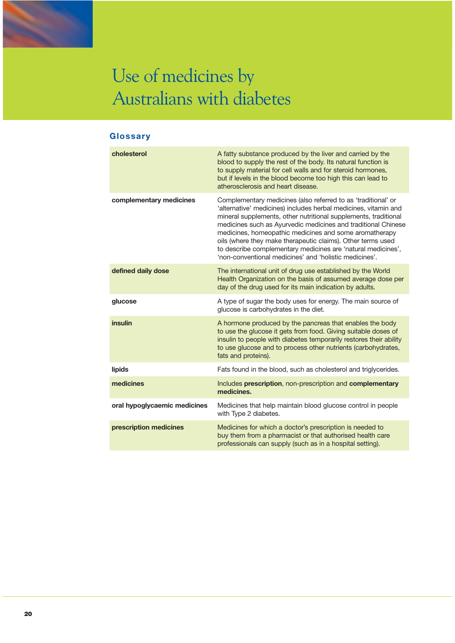

# **Glossary**

| cholesterol                  | A fatty substance produced by the liver and carried by the<br>blood to supply the rest of the body. Its natural function is<br>to supply material for cell walls and for steroid hormones,<br>but if levels in the blood become too high this can lead to<br>atherosclerosis and heart disease.                                                                                                                                                                                                                         |
|------------------------------|-------------------------------------------------------------------------------------------------------------------------------------------------------------------------------------------------------------------------------------------------------------------------------------------------------------------------------------------------------------------------------------------------------------------------------------------------------------------------------------------------------------------------|
| complementary medicines      | Complementary medicines (also referred to as 'traditional' or<br>'alternative' medicines) includes herbal medicines, vitamin and<br>mineral supplements, other nutritional supplements, traditional<br>medicines such as Ayurvedic medicines and traditional Chinese<br>medicines, homeopathic medicines and some aromatherapy<br>oils (where they make therapeutic claims). Other terms used<br>to describe complementary medicines are 'natural medicines',<br>'non-conventional medicines' and 'holistic medicines'. |
| defined daily dose           | The international unit of drug use established by the World<br>Health Organization on the basis of assumed average dose per<br>day of the drug used for its main indication by adults.                                                                                                                                                                                                                                                                                                                                  |
| glucose                      | A type of sugar the body uses for energy. The main source of<br>glucose is carbohydrates in the diet.                                                                                                                                                                                                                                                                                                                                                                                                                   |
| insulin                      | A hormone produced by the pancreas that enables the body<br>to use the glucose it gets from food. Giving suitable doses of<br>insulin to people with diabetes temporarily restores their ability<br>to use glucose and to process other nutrients (carbohydrates,<br>fats and proteins).                                                                                                                                                                                                                                |
| lipids                       | Fats found in the blood, such as cholesterol and triglycerides.                                                                                                                                                                                                                                                                                                                                                                                                                                                         |
| medicines                    | Includes prescription, non-prescription and complementary<br>medicines.                                                                                                                                                                                                                                                                                                                                                                                                                                                 |
| oral hypoglycaemic medicines | Medicines that help maintain blood glucose control in people<br>with Type 2 diabetes.                                                                                                                                                                                                                                                                                                                                                                                                                                   |
| prescription medicines       | Medicines for which a doctor's prescription is needed to<br>buy them from a pharmacist or that authorised health care<br>professionals can supply (such as in a hospital setting).                                                                                                                                                                                                                                                                                                                                      |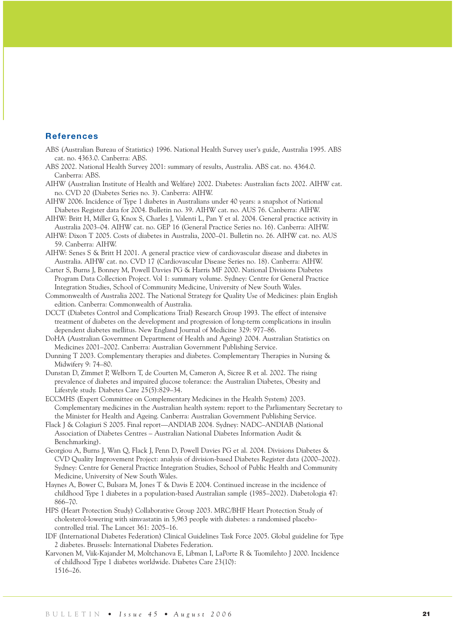#### **References**

- ABS (Australian Bureau of Statistics) 1996. National Health Survey user's guide, Australia 1995. ABS cat. no. 4363.0. Canberra: ABS.
- ABS 2002. National Health Survey 2001: summary of results, Australia. ABS cat. no. 4364.0. Canberra: ABS.
- AIHW (Australian Institute of Health and Welfare) 2002. Diabetes: Australian facts 2002. AIHW cat. no. CVD 20 (Diabetes Series no. 3). Canberra: AIHW.
- AIHW 2006. Incidence of Type 1 diabetes in Australians under 40 years: a snapshot of National Diabetes Register data for 2004. Bulletin no. 39. AIHW cat. no. AUS 76. Canberra: AIHW.
- AIHW: Britt H, Miller G, Knox S, Charles J, Valenti L, Pan Y et al. 2004. General practice activity in Australia 2003–04. AIHW cat. no. GEP 16 (General Practice Series no. 16). Canberra: AIHW.
- AIHW: Dixon T 2005. Costs of diabetes in Australia, 2000–01. Bulletin no. 26. AIHW cat. no. AUS 59. Canberra: AIHW.
- AIHW: Senes S & Britt H 2001. A general practice view of cardiovascular disease and diabetes in Australia. AIHW cat. no. CVD 17 (Cardiovascular Disease Series no. 18). Canberra: AIHW.
- Carter S, Burns J, Bonney M, Powell Davies PG & Harris MF 2000. National Divisions Diabetes Program Data Collection Project. Vol 1: summary volume. Sydney: Centre for General Practice Integration Studies, School of Community Medicine, University of New South Wales.
- Commonwealth of Australia 2002. The National Strategy for Quality Use of Medicines: plain English edition. Canberra: Commonwealth of Australia.
- DCCT (Diabetes Control and Complications Trial) Research Group 1993. The effect of intensive treatment of diabetes on the development and progression of long-term complications in insulin dependent diabetes mellitus. New England Journal of Medicine 329: 977–86.
- DoHA (Australian Government Department of Health and Ageing) 2004. Australian Statistics on Medicines 2001–2002. Canberra: Australian Government Publishing Service.
- Dunning T 2003. Complementary therapies and diabetes. Complementary Therapies in Nursing & Midwifery 9: 74–80.
- Dunstan D, Zimmet P, Welborn T, de Courten M, Cameron A, Sicree R et al. 2002. The rising prevalence of diabetes and impaired glucose tolerance: the Australian Diabetes, Obesity and Lifestyle study. Diabetes Care 25(5):829–34.
- ECCMHS (Expert Committee on Complementary Medicines in the Health System) 2003. Complementary medicines in the Australian health system: report to the Parliamentary Secretary to the Minister for Health and Ageing. Canberra: Australian Government Publishing Service.
- Flack J & Colagiuri S 2005. Final report—ANDIAB 2004. Sydney: NADC–ANDIAB (National Association of Diabetes Centres – Australian National Diabetes Information Audit & Benchmarking).
- Georgiou A, Burns J, Wan Q, Flack J, Penn D, Powell Davies PG et al. 2004. Divisions Diabetes & CVD Quality Improvement Project: analysis of division-based Diabetes Register data (2000–2002). Sydney: Centre for General Practice Integration Studies, School of Public Health and Community Medicine, University of New South Wales.
- Haynes A, Bower C, Bulsara M, Jones T & Davis E 2004. Continued increase in the incidence of childhood Type 1 diabetes in a population-based Australian sample (1985–2002). Diabetologia 47: 866–70.
- HPS (Heart Protection Study) Collaborative Group 2003. MRC/BHF Heart Protection Study of cholesterol-lowering with simvastatin in 5,963 people with diabetes: a randomised placebocontrolled trial. The Lancet 361: 2005–16.
- IDF (International Diabetes Federation) Clinical Guidelines Task Force 2005. Global guideline for Type 2 diabetes. Brussels: International Diabetes Federation.
- Karvonen M, Viik-Kajander M, Moltchanova E, Libman I, LaPorte R & Tuomilehto J 2000. Incidence of childhood Type 1 diabetes worldwide. Diabetes Care 23(10): 1516–26.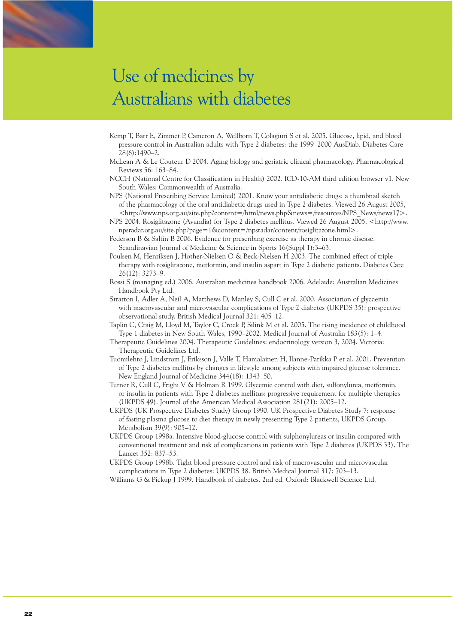- Kemp T, Barr E, Zimmet P, Cameron A, Wellborn T, Colagiuri S et al. 2005. Glucose, lipid, and blood pressure control in Australian adults with Type 2 diabetes: the 1999–2000 AusDiab. Diabetes Care 28(6):1490–2.
- McLean A & Le Couteur D 2004. Aging biology and geriatric clinical pharmacology. Pharmacological Reviews 56: 163–84.
- NCCH (National Centre for Classification in Health) 2002. ICD-10-AM third edition browser v1. New South Wales: Commonwealth of Australia.
- NPS (National Prescribing Service Limited) 2001. Know your antidiabetic drugs: a thumbnail sketch of the pharmacology of the oral antidiabetic drugs used in Type 2 diabetes. Viewed 26 August 2005, <http://www.nps.org.au/site.php?content=/html/news.php&news=/resources/NPS\_News/news17>.
- NPS 2004. Rosiglitazone (Avandia) for Type 2 diabetes mellitus. Viewed 26 August 2005, <http://www. npsradar.org.au/site.php?page=1&content=/npsradar/content/rosiglitazone.html>.
- Pederson B & Saltin B 2006. Evidence for prescribing exercise as therapy in chronic disease. Scandinavian Journal of Medicine & Science in Sports 16(Suppl 1):3–63.
- Poulsen M, Henriksen J, Hother-Nielsen O & Beck-Nielsen H 2003. The combined effect of triple therapy with rosiglitazone, metformin, and insulin aspart in Type 2 diabetic patients. Diabetes Care 26(12): 3273–9.
- Rossi S (managing ed.) 2006. Australian medicines handbook 2006. Adelaide: Australian Medicines Handbook Pty Ltd.
- Stratton I, Adler A, Neil A, Matthews D, Manley S, Cull C et al. 2000. Association of glycaemia with macrovascular and microvascular complications of Type 2 diabetes (UKPDS 35): prospective observational study. British Medical Journal 321: 405–12.
- Taplin C, Craig M, Lloyd M, Taylor C, Crock P, Silink M et al. 2005. The rising incidence of childhood Type 1 diabetes in New South Wales, 1990–2002. Medical Journal of Australia 183(5): 1–4.
- Therapeutic Guidelines 2004. Therapeutic Guidelines: endocrinology version 3, 2004. Victoria: Therapeutic Guidelines Ltd.
- Tuomilehto J, Lindstrom J, Eriksson J, Valle T, Hamalainen H, Ilanne-Parikka P et al. 2001. Prevention of Type 2 diabetes mellitus by changes in lifestyle among subjects with impaired glucose tolerance. New England Journal of Medicine 344(18): 1343–50.
- Turner R, Cull C, Frighi V & Holman R 1999. Glycemic control with diet, sulfonylurea, metformin, or insulin in patients with Type 2 diabetes mellitus: progressive requirement for multiple therapies (UKPDS 49). Journal of the American Medical Association 281(21): 2005–12.
- UKPDS (UK Prospective Diabetes Study) Group 1990. UK Prospective Diabetes Study 7: response of fasting plasma glucose to diet therapy in newly presenting Type 2 patients, UKPDS Group. Metabolism 39(9): 905–12.
- UKPDS Group 1998a. Intensive blood-glucose control with sulphonylureas or insulin compared with conventional treatment and risk of complications in patients with Type 2 diabetes (UKPDS 33). The Lancet 352: 837–53.
- UKPDS Group 1998b. Tight blood pressure control and risk of macrovascular and microvascular complications in Type 2 diabetes: UKPDS 38. British Medical Journal 317: 703–13.
- Williams G & Pickup J 1999. Handbook of diabetes. 2nd ed. Oxford: Blackwell Science Ltd.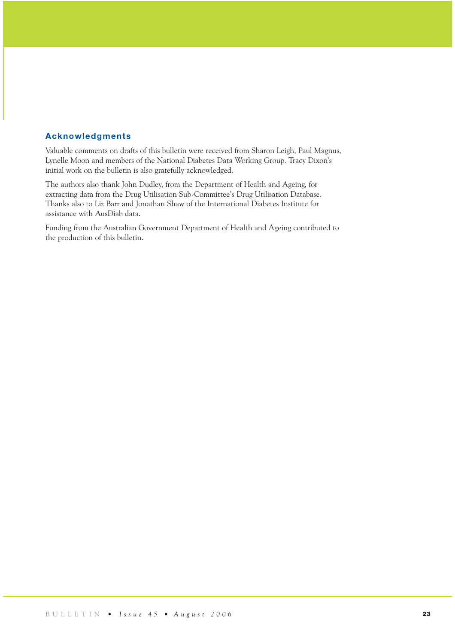### **Acknowledgments**

Valuable comments on drafts of this bulletin were received from Sharon Leigh, Paul Magnus, Lynelle Moon and members of the National Diabetes Data Working Group. Tracy Dixon's initial work on the bulletin is also gratefully acknowledged.

The authors also thank John Dudley, from the Department of Health and Ageing, for extracting data from the Drug Utilisation Sub-Committee's Drug Utilisation Database. Thanks also to Liz Barr and Jonathan Shaw of the International Diabetes Institute for assistance with AusDiab data.

Funding from the Australian Government Department of Health and Ageing contributed to the production of this bulletin.